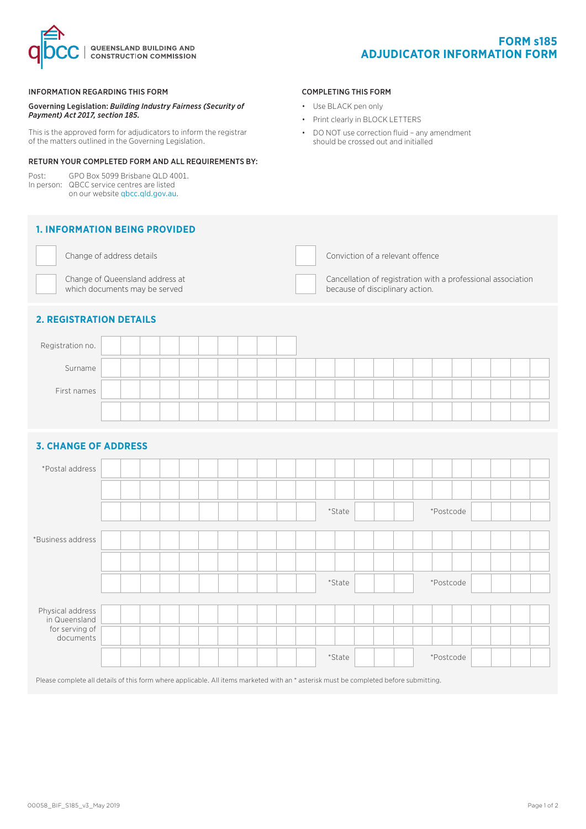



#### INFORMATION REGARDING THIS FORM

Governing Legislation: *Building Industry Fairness (Security of Payment) Act 2017, section 185.*

This is the approved form for adjudicators to inform the registrar of the matters outlined in the Governing Legislation.

## RETURN YOUR COMPLETED FORM AND ALL REQUIREMENTS BY:

Post: GPO Box 5099 Brisbane QLD 4001. In person: QBCC service centres are listed on our website qbcc.qld.gov.au.

## **1. INFORMATION BEING PROVIDED**



Change of Queensland address at which documents may be served

Change of address details Conviction of a relevant offence

COMPLETING THIS FORM • Use BLACK pen only

• Print clearly in BLOCK LETTERS

• DO NOT use correction fluid – any amendment should be crossed out and initialled

> Cancellation of registration with a professional association because of disciplinary action.

# **2. REGISTRATION DETAILS**

| Registration no. |  |  |  |  |  |  |  |  |  |  |  |  |
|------------------|--|--|--|--|--|--|--|--|--|--|--|--|
| Surname          |  |  |  |  |  |  |  |  |  |  |  |  |
| First names      |  |  |  |  |  |  |  |  |  |  |  |  |
|                  |  |  |  |  |  |  |  |  |  |  |  |  |

## **3. CHANGE OF ADDRESS**

| *Postal address                   |  |  |  |  |  |        |        |  |  |           |  |  |  |
|-----------------------------------|--|--|--|--|--|--------|--------|--|--|-----------|--|--|--|
|                                   |  |  |  |  |  |        |        |  |  |           |  |  |  |
|                                   |  |  |  |  |  |        | *State |  |  | *Postcode |  |  |  |
| *Business address                 |  |  |  |  |  |        |        |  |  |           |  |  |  |
|                                   |  |  |  |  |  |        |        |  |  |           |  |  |  |
|                                   |  |  |  |  |  | *State |        |  |  | *Postcode |  |  |  |
|                                   |  |  |  |  |  |        |        |  |  |           |  |  |  |
| Physical address<br>in Queensland |  |  |  |  |  |        |        |  |  |           |  |  |  |
| for serving of<br>documents       |  |  |  |  |  |        |        |  |  |           |  |  |  |
|                                   |  |  |  |  |  | *State |        |  |  | *Postcode |  |  |  |

Please complete all details of this form where applicable. All items marketed with an \* asterisk must be completed before submitting.